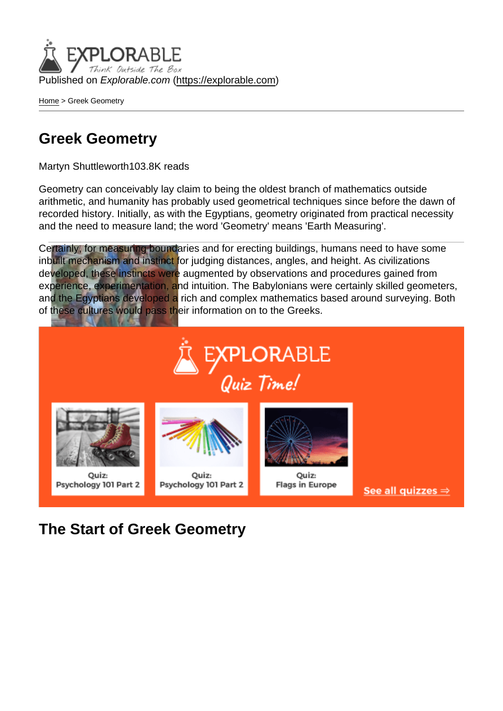Published on Explorable.com (<https://explorable.com>)

[Home](https://explorable.com/) > Greek Geometry

#### Greek Geometry

Martyn Shuttleworth103.8K reads

Geometry can conceivably lay claim to being the oldest branch of mathematics outside arithmetic, and humanity has probably used geometrical techniques since before the dawn of recorded history. Initially, as with the Egyptians, geometry originated from practical necessity and the need to measure land; the word 'Geometry' means 'Earth Measuring'.

Certainly, for measuring boundaries and for erecting buildings, humans need to have some inbuilt mechanism and instinct for judging distances, angles, and height. As civilizations developed, these instincts were augmented by observations and procedures gained from experience, experimentation, and intuition. The Babylonians were certainly skilled geometers, and the Egyptians developed a rich and complex mathematics based around surveying. Both of these cultures would pass their information on to the Greeks.

Euclid, illustrating geometry in "The School of Athens", by Raffaello Sanzio (Public Domain)

The Start of Greek Geometry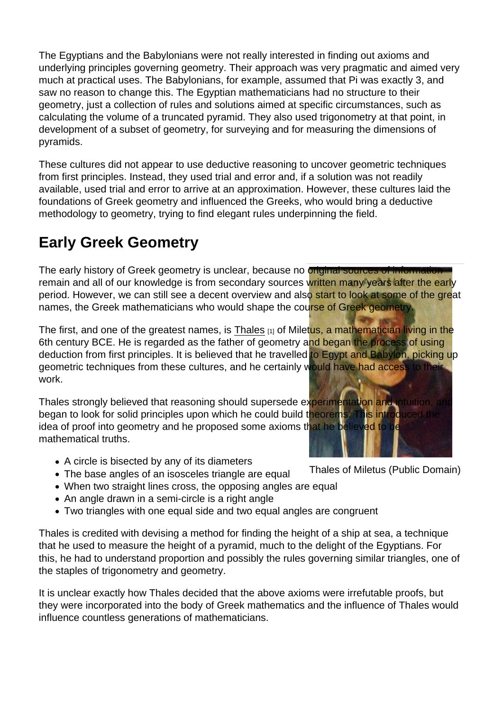The Egyptians and the Babylonians were not really interested in finding out axioms and underlying principles governing geometry. Their approach was very pragmatic and aimed very much at practical uses. The Babylonians, for example, assumed that Pi was exactly 3, and saw no reason to change this. The Egyptian mathematicians had no structure to their geometry, just a collection of rules and solutions aimed at specific circumstances, such as calculating the volume of a truncated pyramid. They also used trigonometry at that point, in development of a subset of geometry, for surveying and for measuring the dimensions of pyramids.

These cultures did not appear to use deductive reasoning to uncover geometric techniques from first principles. Instead, they used trial and error and, if a solution was not readily available, used trial and error to arrive at an approximation. However, these cultures laid the foundations of Greek geometry and influenced the Greeks, who would bring a deductive methodology to geometry, trying to find elegant rules underpinning the field.

## Early Greek Geometry

The early history of Greek geometry is unclear, because no original sources of information remain and all of our knowledge is from secondary sources written many years after the early period. However, we can still see a decent overview and also start to look at some of the great names, the Greek mathematicians who would shape the course of Greek geometry.

The first, and one of the greatest names, is [Thales](https://explorable.com/thales) [1] of Miletus, a mathematician living in the 6th century BCE. He is regarded as the father of geometry and began the process of using deduction from first principles. It is believed that he travelled to Egypt and Babylon, picking up geometric techniques from these cultures, and he certainly would have had access to their work.

Thales strongly believed that reasoning should supersede experimentation and intuition, and began to look for solid principles upon which he could build theorems. This introduced the idea of proof into geometry and he proposed some axioms that he believed to be mathematical truths.

- A circle is bisected by any of its diameters
- Thales of Miletus (Public Domain) The base angles of an isosceles triangle are equal
- When two straight lines cross, the opposing angles are equal
- An angle drawn in a semi-circle is a right angle
- Two triangles with one equal side and two equal angles are congruent

Thales is credited with devising a method for finding the height of a ship at sea, a technique that he used to measure the height of a pyramid, much to the delight of the Egyptians. For this, he had to understand proportion and possibly the rules governing similar triangles, one of the staples of trigonometry and geometry.

It is unclear exactly how Thales decided that the above axioms were irrefutable proofs, but they were incorporated into the body of Greek mathematics and the influence of Thales would influence countless generations of mathematicians.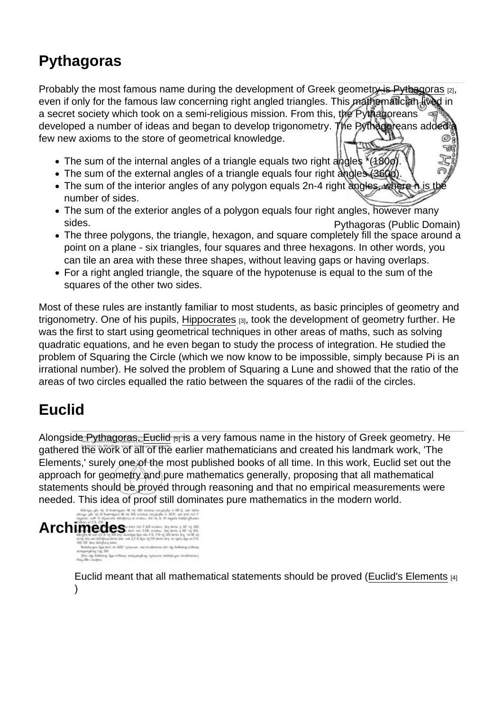# **Pythagoras**

Probably the most famous name during the development of Greek geometry is [Pythagoras](https://explorable.com/pythagoras) [2], even if only for the famous law concerning right angled triangles. This mathematician lived in a secret society which took on a semi-religious mission. From this, the Pythagoreans developed a number of ideas and began to develop trigonometry. The Pythagoreans added a few new axioms to the store of geometrical knowledge.

- The sum of the internal angles of a triangle equals two right angles \*(180o).
- The sum of the external angles of a triangle equals four right angles (360o).
- The sum of the interior angles of any polygon equals 2n-4 right angles, where n is the number of sides.
- Pythagoras (Public Domain) • The sum of the exterior angles of a polygon equals four right angles, however many sides.
- The three polygons, the triangle, hexagon, and square completely fill the space around a point on a plane - six triangles, four squares and three hexagons. In other words, you can tile an area with these three shapes, without leaving gaps or having overlaps.
- For a right angled triangle, the square of the hypotenuse is equal to the sum of the squares of the other two sides.

Most of these rules are instantly familiar to most students, as basic principles of geometry and trigonometry. One of his pupils, [Hippocrates](http://en.wikipedia.org/wiki/Hippocrates) [3], took the development of geometry further. He was the first to start using geometrical techniques in other areas of maths, such as solving quadratic equations, and he even began to study the process of integration. He studied the problem of Squaring the Circle (which we now know to be impossible, simply because Pi is an irrational number). He solved the problem of Squaring a Lune and showed that the ratio of the areas of two circles equalled the ratio between the squares of the radii of the circles.

#### Euclid

Alongside Pythagoras, [Euclid](https://explorable.com/euclid) [5] is a very famous name in the history of Greek geometry. He gathered the work of all of the earlier mathematicians and created his landmark work, 'The Elements,' surely one of the most published books of all time. In this work, Euclid set out the approach for geometry and pure mathematics generally, proposing that all mathematical statements should be proved through reasoning and that no empirical measurements were needed. This idea of proof still dominates pure mathematics in the modern world.

#### Archimedes

Euclid meant that all mathematical statements should be proved ([Euclid's Elements](http://en.wikipedia.org/wiki/Euclid) [4]  $\lambda$